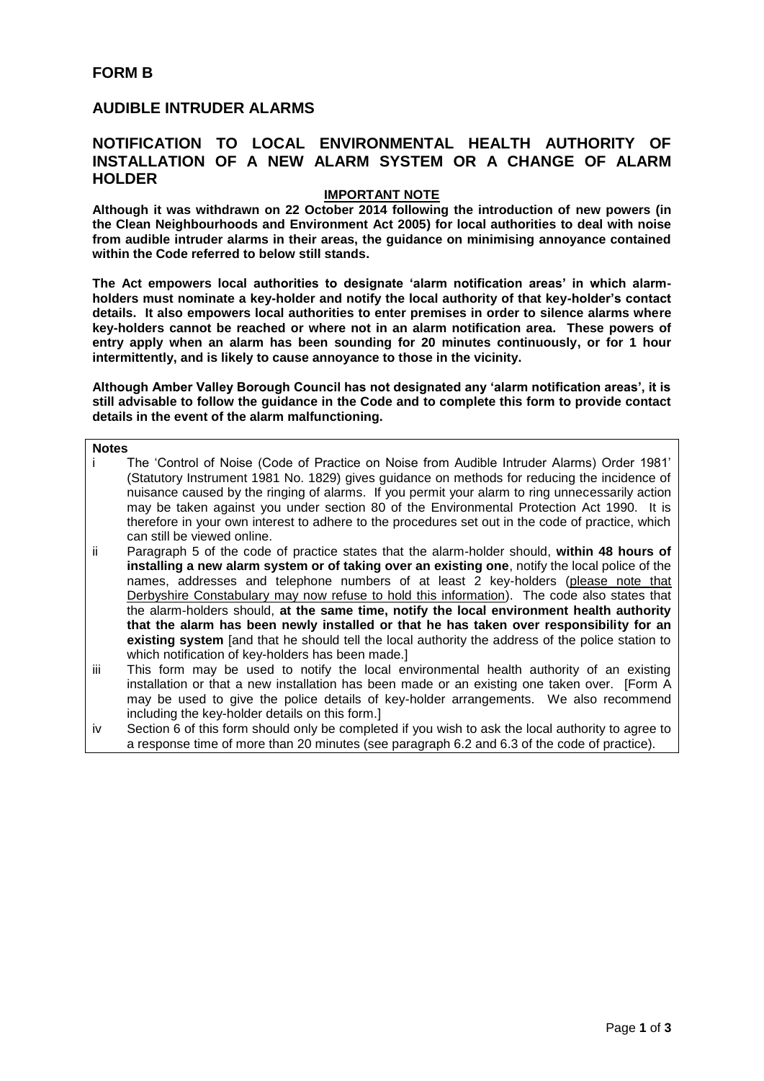# **AUDIBLE INTRUDER ALARMS**

## **NOTIFICATION TO LOCAL ENVIRONMENTAL HEALTH AUTHORITY OF INSTALLATION OF A NEW ALARM SYSTEM OR A CHANGE OF ALARM HOLDER**

### **IMPORTANT NOTE**

**Although it was withdrawn on 22 October 2014 following the introduction of new powers (in the Clean Neighbourhoods and Environment Act 2005) for local authorities to deal with noise from audible intruder alarms in their areas, the guidance on minimising annoyance contained within the Code referred to below still stands.**

**The Act empowers local authorities to designate 'alarm notification areas' in which alarmholders must nominate a key-holder and notify the local authority of that key-holder's contact details. It also empowers local authorities to enter premises in order to silence alarms where key-holders cannot be reached or where not in an alarm notification area. These powers of entry apply when an alarm has been sounding for 20 minutes continuously, or for 1 hour intermittently, and is likely to cause annoyance to those in the vicinity.**

**Although Amber Valley Borough Council has not designated any 'alarm notification areas', it is still advisable to follow the guidance in the Code and to complete this form to provide contact details in the event of the alarm malfunctioning.**

**Notes**

- i The 'Control of Noise (Code of Practice on Noise from Audible Intruder Alarms) Order 1981' (Statutory Instrument 1981 No. 1829) gives guidance on methods for reducing the incidence of nuisance caused by the ringing of alarms. If you permit your alarm to ring unnecessarily action may be taken against you under section 80 of the Environmental Protection Act 1990. It is therefore in your own interest to adhere to the procedures set out in the code of practice, which can still be viewed online.
- ii Paragraph 5 of the code of practice states that the alarm-holder should, **within 48 hours of installing a new alarm system or of taking over an existing one**, notify the local police of the names, addresses and telephone numbers of at least 2 key-holders (please note that Derbyshire Constabulary may now refuse to hold this information). The code also states that the alarm-holders should, **at the same time, notify the local environment health authority that the alarm has been newly installed or that he has taken over responsibility for an existing system** [and that he should tell the local authority the address of the police station to which notification of key-holders has been made.
- iii This form may be used to notify the local environmental health authority of an existing installation or that a new installation has been made or an existing one taken over. [Form A may be used to give the police details of key-holder arrangements. We also recommend including the key-holder details on this form.]
- iv Section 6 of this form should only be completed if you wish to ask the local authority to agree to a response time of more than 20 minutes (see paragraph 6.2 and 6.3 of the code of practice).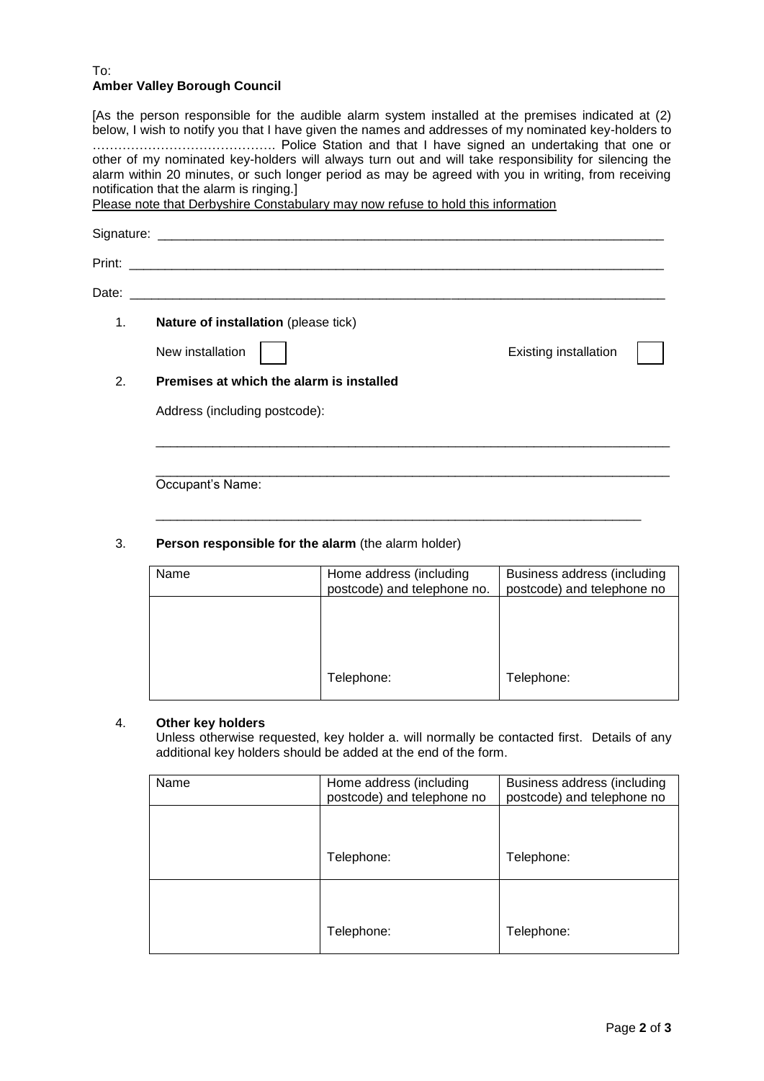#### To: **Amber Valley Borough Council**

[As the person responsible for the audible alarm system installed at the premises indicated at (2) below, I wish to notify you that I have given the names and addresses of my nominated key-holders to ……………………………………. Police Station and that I have signed an undertaking that one or other of my nominated key-holders will always turn out and will take responsibility for silencing the alarm within 20 minutes, or such longer period as may be agreed with you in writing, from receiving notification that the alarm is ringing.] Please note that Derbyshire Constabulary may now refuse to hold this information Signature: \_\_\_\_\_\_\_\_\_\_\_\_\_\_\_\_\_\_\_\_\_\_\_\_\_\_\_\_\_\_\_\_\_\_\_\_\_\_\_\_\_\_\_\_\_\_\_\_\_\_\_\_\_\_\_\_\_\_\_\_\_\_\_\_\_\_\_\_\_\_\_ Print: \_\_\_\_\_\_\_\_\_\_\_\_\_\_\_\_\_\_\_\_\_\_\_\_\_\_\_\_\_\_\_\_\_\_\_\_\_\_\_\_\_\_\_\_\_\_\_\_\_\_\_\_\_\_\_\_\_\_\_\_\_\_\_\_\_\_\_\_\_\_\_\_\_\_\_ Date: \_\_\_\_\_\_\_\_\_\_\_\_\_\_\_\_\_\_\_\_\_\_\_\_\_\_\_\_\_\_\_\_\_\_\_\_\_\_\_\_\_\_\_\_\_\_\_\_\_\_\_\_\_\_\_\_\_\_\_\_\_\_\_\_\_\_\_\_\_\_\_\_\_\_\_ 1. **Nature of installation** (please tick) New installation  $\begin{vmatrix} \cdot & \cdot & \cdot \\ \cdot & \cdot & \cdot \\ \cdot & \cdot & \cdot \end{vmatrix}$  Existing installation 2. **Premises at which the alarm is installed** Address (including postcode): \_\_\_\_\_\_\_\_\_\_\_\_\_\_\_\_\_\_\_\_\_\_\_\_\_\_\_\_\_\_\_\_\_\_\_\_\_\_\_\_\_\_\_\_\_\_\_\_\_\_\_\_\_\_\_\_\_\_\_\_\_\_\_\_\_\_\_\_\_\_\_\_ \_\_\_\_\_\_\_\_\_\_\_\_\_\_\_\_\_\_\_\_\_\_\_\_\_\_\_\_\_\_\_\_\_\_\_\_\_\_\_\_\_\_\_\_\_\_\_\_\_\_\_\_\_\_\_\_\_\_\_\_\_\_\_\_\_\_\_\_\_\_\_\_

Occupant's Name:

## 3. **Person responsible for the alarm** (the alarm holder)

| Name | Home address (including<br>postcode) and telephone no. | Business address (including<br>postcode) and telephone no |
|------|--------------------------------------------------------|-----------------------------------------------------------|
|      |                                                        |                                                           |
|      |                                                        |                                                           |
|      | Telephone:                                             | Telephone:                                                |

\_\_\_\_\_\_\_\_\_\_\_\_\_\_\_\_\_\_\_\_\_\_\_\_\_\_\_\_\_\_\_\_\_\_\_\_\_\_\_\_\_\_\_\_\_\_\_\_\_\_\_\_\_\_\_\_\_\_\_\_\_\_\_\_\_\_\_\_

## 4. **Other key holders**

Unless otherwise requested, key holder a. will normally be contacted first. Details of any additional key holders should be added at the end of the form.

| Name | Home address (including<br>postcode) and telephone no | Business address (including<br>postcode) and telephone no |
|------|-------------------------------------------------------|-----------------------------------------------------------|
|      |                                                       |                                                           |
|      | Telephone:                                            | Telephone:                                                |
|      |                                                       |                                                           |
|      | Telephone:                                            | Telephone:                                                |